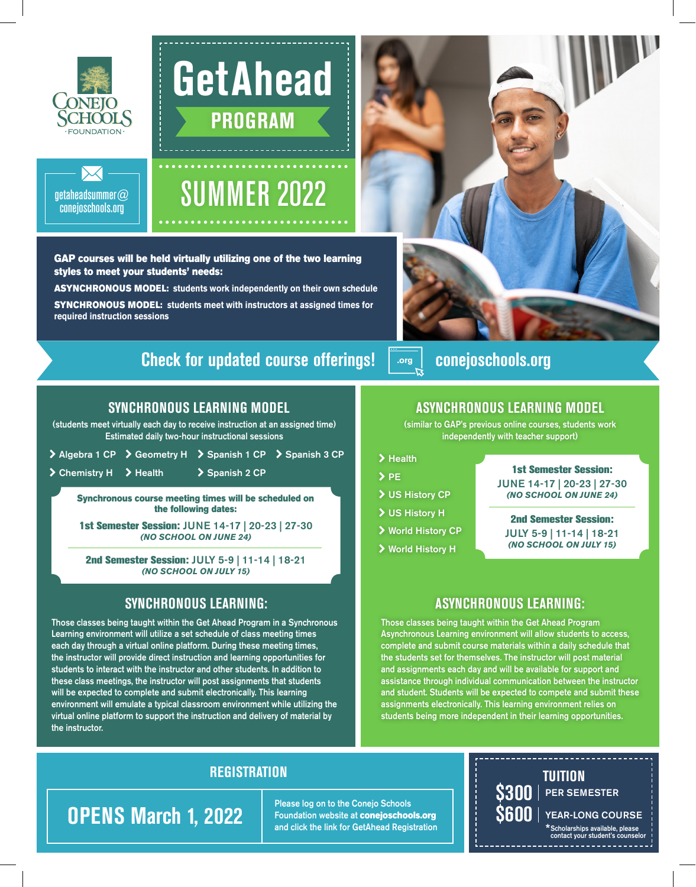

## **GetAhead PROGRAM**



## SUMMER 2022

GAP courses will be held virtually utilizing one of the two learning styles to meet your students' needs:

ASYNCHRONOUS MODEL: **students work independently on their own schedule**  SYNCHRONOUS MODEL: **students meet with instructors at assigned times for required instruction sessions**

### **Check for updated course offerings! .org conejoschools.org**

### **SYNCHRONOUS LEARNING MODEL**

(students meet virtually each day to receive instruction at an assigned time) Estimated daily two-hour instructional sessions

|                        | > Algebra 1 CP > Geometry H > Spanish 1 CP > Spanish 3 CP |  |
|------------------------|-----------------------------------------------------------|--|
| > Chemistry H > Health | > Spanish 2 CP                                            |  |

Synchronous course meeting times will be scheduled on the following dates:

1st Semester Session: JUNE 14-17 | 20-23 | 27-30 *(NO SCHOOL ON JUNE 24)*

2nd Semester Session: JULY 5-9 | 11-14 | 18-21 *(NO SCHOOL ON JULY 15)*

### **SYNCHRONOUS LEARNING:**

Those classes being taught within the Get Ahead Program in a Synchronous Learning environment will utilize a set schedule of class meeting times each day through a virtual online platform. During these meeting times, the instructor will provide direct instruction and learning opportunities for students to interact with the instructor and other students. In addition to these class meetings, the instructor will post assignments that students will be expected to complete and submit electronically. This learning environment will emulate a typical classroom environment while utilizing the virtual online platform to support the instruction and delivery of material by the instructor.



### **ASYNCHRONOUS LEARNING MODEL**

(similar to GAP's previous online courses, students work independently with teacher support)

### \ Health

- $\angle$  PE
- \ US History CP
- \ US History H
- \ World History CP
- \ World History H

1st Semester Session: JUNE 14-17 | 20-23 | 27-30 *(NO SCHOOL ON JUNE 24)*

#### 2nd Semester Session: JULY 5-9 | 11-14 | 18-21 *(NO SCHOOL ON JULY 15)*

### **ASYNCHRONOUS LEARNING:**

Those classes being taught within the Get Ahead Program Asynchronous Learning environment will allow students to access, complete and submit course materials within a daily schedule that the students set for themselves. The instructor will post material and assignments each day and will be available for support and assistance through individual communication between the instructor and student. Students will be expected to compete and submit these assignments electronically. This learning environment relies on students being more independent in their learning opportunities.

### **REGISTRATION**

Please log on to the Conejo Schools<br>Foundation website at conejoschools.org<br>and alight the light fax CotAbead Peristration and click the link for GetAhead Registration

**TUITION**  $\$300$   $|$  per semester S600 | YEAR-LONG COURSE **OPENS March 1, 2022** Please log on to the Conejo Schools<br>and click the link for GetAhead Registration<br>S600 | YEAR-LONG COURSE<br>Scholarships available, please<br>Scholarships available, please \*Scholarships available, please